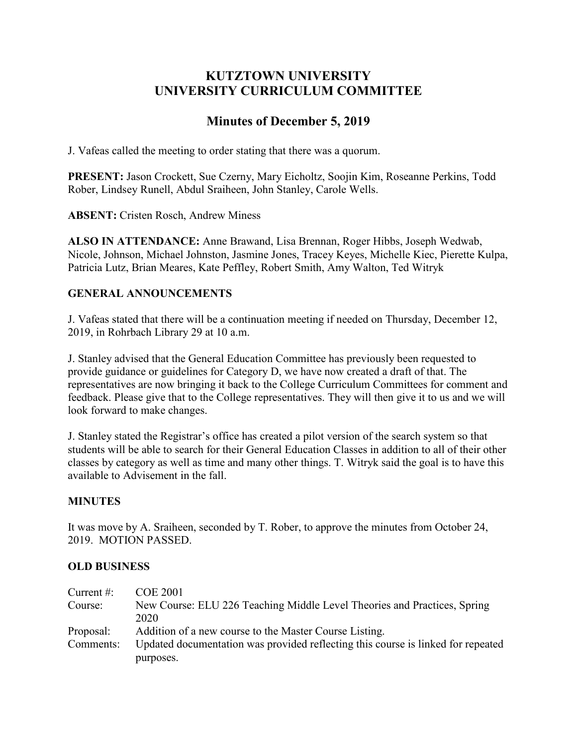# **KUTZTOWN UNIVERSITY UNIVERSITY CURRICULUM COMMITTEE**

# **Minutes of December 5, 2019**

J. Vafeas called the meeting to order stating that there was a quorum.

**PRESENT:** Jason Crockett, Sue Czerny, Mary Eicholtz, Soojin Kim, Roseanne Perkins, Todd Rober, Lindsey Runell, Abdul Sraiheen, John Stanley, Carole Wells.

**ABSENT:** Cristen Rosch, Andrew Miness

**ALSO IN ATTENDANCE:** Anne Brawand, Lisa Brennan, Roger Hibbs, Joseph Wedwab, Nicole, Johnson, Michael Johnston, Jasmine Jones, Tracey Keyes, Michelle Kiec, Pierette Kulpa, Patricia Lutz, Brian Meares, Kate Peffley, Robert Smith, Amy Walton, Ted Witryk

## **GENERAL ANNOUNCEMENTS**

J. Vafeas stated that there will be a continuation meeting if needed on Thursday, December 12, 2019, in Rohrbach Library 29 at 10 a.m.

J. Stanley advised that the General Education Committee has previously been requested to provide guidance or guidelines for Category D, we have now created a draft of that. The representatives are now bringing it back to the College Curriculum Committees for comment and feedback. Please give that to the College representatives. They will then give it to us and we will look forward to make changes.

J. Stanley stated the Registrar's office has created a pilot version of the search system so that students will be able to search for their General Education Classes in addition to all of their other classes by category as well as time and many other things. T. Witryk said the goal is to have this available to Advisement in the fall.

### **MINUTES**

It was move by A. Sraiheen, seconded by T. Rober, to approve the minutes from October 24, 2019. MOTION PASSED.

### **OLD BUSINESS**

| Current $#$ : | <b>COE 2001</b>                                                                  |
|---------------|----------------------------------------------------------------------------------|
| Course:       | New Course: ELU 226 Teaching Middle Level Theories and Practices, Spring         |
|               | 2020                                                                             |
| Proposal:     | Addition of a new course to the Master Course Listing.                           |
| Comments:     | Updated documentation was provided reflecting this course is linked for repeated |
|               | purposes.                                                                        |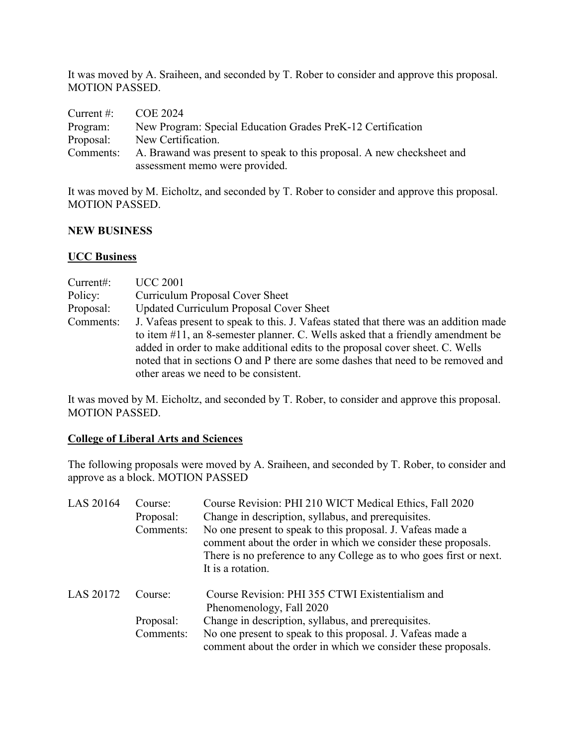It was moved by A. Sraiheen, and seconded by T. Rober to consider and approve this proposal. MOTION PASSED.

| Current $\#$ : | COE 2024                                                               |
|----------------|------------------------------------------------------------------------|
| Program:       | New Program: Special Education Grades PreK-12 Certification            |
| Proposal:      | New Certification.                                                     |
| Comments:      | A. Brawand was present to speak to this proposal. A new checksheet and |
|                | assessment memo were provided.                                         |

It was moved by M. Eicholtz, and seconded by T. Rober to consider and approve this proposal. MOTION PASSED.

#### **NEW BUSINESS**

#### **UCC Business**

| Current:  | <b>UCC 2001</b>                                                                      |  |  |
|-----------|--------------------------------------------------------------------------------------|--|--|
| Policy:   | <b>Curriculum Proposal Cover Sheet</b>                                               |  |  |
| Proposal: | <b>Updated Curriculum Proposal Cover Sheet</b>                                       |  |  |
| Comments: | J. Vafeas present to speak to this. J. Vafeas stated that there was an addition made |  |  |
|           | to item #11, an 8-semester planner. C. Wells asked that a friendly amendment be      |  |  |
|           | added in order to make additional edits to the proposal cover sheet. C. Wells        |  |  |
|           | noted that in sections O and P there are some dashes that need to be removed and     |  |  |
|           | other areas we need to be consistent.                                                |  |  |

It was moved by M. Eicholtz, and seconded by T. Rober, to consider and approve this proposal. MOTION PASSED.

### **College of Liberal Arts and Sciences**

The following proposals were moved by A. Sraiheen, and seconded by T. Rober, to consider and approve as a block. MOTION PASSED

| LAS 20164 | Course:<br>Proposal:<br>Comments: | Course Revision: PHI 210 WICT Medical Ethics, Fall 2020<br>Change in description, syllabus, and prerequisites.<br>No one present to speak to this proposal. J. Vafeas made a<br>comment about the order in which we consider these proposals.<br>There is no preference to any College as to who goes first or next.<br>It is a rotation. |
|-----------|-----------------------------------|-------------------------------------------------------------------------------------------------------------------------------------------------------------------------------------------------------------------------------------------------------------------------------------------------------------------------------------------|
| LAS 20172 | Course:                           | Course Revision: PHI 355 CTWI Existentialism and<br>Phenomenology, Fall 2020                                                                                                                                                                                                                                                              |
|           | Proposal:                         | Change in description, syllabus, and prerequisites.                                                                                                                                                                                                                                                                                       |
|           | Comments:                         | No one present to speak to this proposal. J. Vafeas made a<br>comment about the order in which we consider these proposals.                                                                                                                                                                                                               |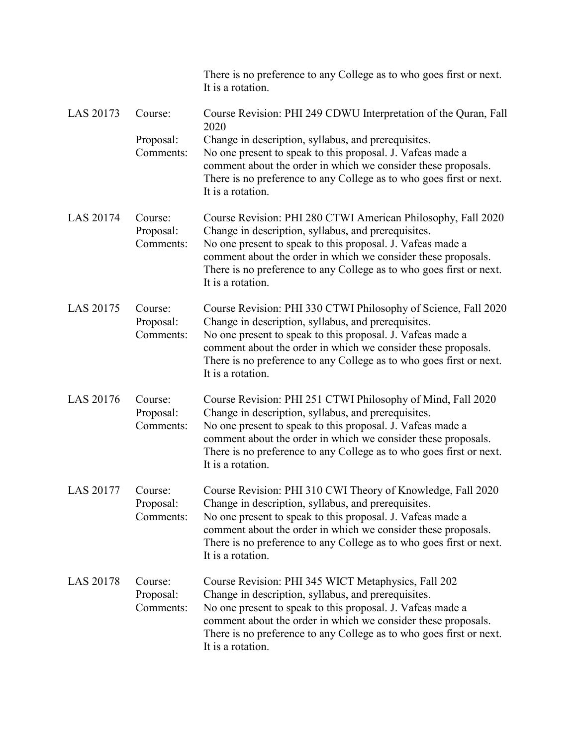|                   |                                   | There is no preference to any College as to who goes first or next.<br>It is a rotation.                                                                                                                                                                                                                                                                  |
|-------------------|-----------------------------------|-----------------------------------------------------------------------------------------------------------------------------------------------------------------------------------------------------------------------------------------------------------------------------------------------------------------------------------------------------------|
| LAS 20173         | Course:<br>Proposal:<br>Comments: | Course Revision: PHI 249 CDWU Interpretation of the Quran, Fall<br>2020<br>Change in description, syllabus, and prerequisites.<br>No one present to speak to this proposal. J. Vafeas made a<br>comment about the order in which we consider these proposals.<br>There is no preference to any College as to who goes first or next.<br>It is a rotation. |
| LAS 20174         | Course:<br>Proposal:<br>Comments: | Course Revision: PHI 280 CTWI American Philosophy, Fall 2020<br>Change in description, syllabus, and prerequisites.<br>No one present to speak to this proposal. J. Vafeas made a<br>comment about the order in which we consider these proposals.<br>There is no preference to any College as to who goes first or next.<br>It is a rotation.            |
| LAS 20175         | Course:<br>Proposal:<br>Comments: | Course Revision: PHI 330 CTWI Philosophy of Science, Fall 2020<br>Change in description, syllabus, and prerequisites.<br>No one present to speak to this proposal. J. Vafeas made a<br>comment about the order in which we consider these proposals.<br>There is no preference to any College as to who goes first or next.<br>It is a rotation.          |
| LAS 20176         | Course:<br>Proposal:<br>Comments: | Course Revision: PHI 251 CTWI Philosophy of Mind, Fall 2020<br>Change in description, syllabus, and prerequisites.<br>No one present to speak to this proposal. J. Vafeas made a<br>comment about the order in which we consider these proposals.<br>There is no preference to any College as to who goes first or next.<br>It is a rotation.             |
| LAS 20177 Course: | Proposal:<br>Comments:            | Course Revision: PHI 310 CWI Theory of Knowledge, Fall 2020<br>Change in description, syllabus, and prerequisites.<br>No one present to speak to this proposal. J. Vafeas made a<br>comment about the order in which we consider these proposals.<br>There is no preference to any College as to who goes first or next.<br>It is a rotation.             |
| <b>LAS 20178</b>  | Course:<br>Proposal:<br>Comments: | Course Revision: PHI 345 WICT Metaphysics, Fall 202<br>Change in description, syllabus, and prerequisites.<br>No one present to speak to this proposal. J. Vafeas made a<br>comment about the order in which we consider these proposals.<br>There is no preference to any College as to who goes first or next.<br>It is a rotation.                     |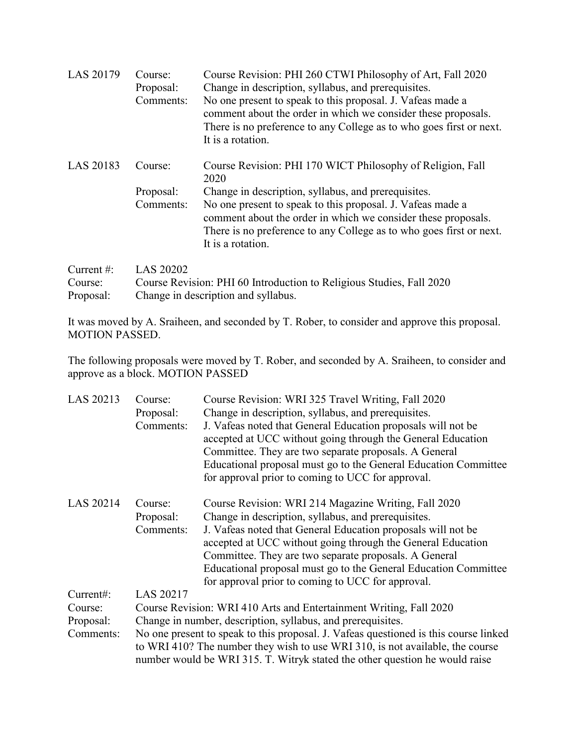| LAS 20179     | Course:<br>Proposal:<br>Comments: | Course Revision: PHI 260 CTWI Philosophy of Art, Fall 2020<br>Change in description, syllabus, and prerequisites.<br>No one present to speak to this proposal. J. Vafeas made a<br>comment about the order in which we consider these proposals.<br>There is no preference to any College as to who goes first or next.<br>It is a rotation. |
|---------------|-----------------------------------|----------------------------------------------------------------------------------------------------------------------------------------------------------------------------------------------------------------------------------------------------------------------------------------------------------------------------------------------|
| LAS 20183     | Course:                           | Course Revision: PHI 170 WICT Philosophy of Religion, Fall<br>2020                                                                                                                                                                                                                                                                           |
|               | Proposal:                         | Change in description, syllabus, and prerequisites.                                                                                                                                                                                                                                                                                          |
|               | Comments:                         | No one present to speak to this proposal. J. Vafeas made a<br>comment about the order in which we consider these proposals.<br>There is no preference to any College as to who goes first or next.<br>It is a rotation.                                                                                                                      |
| Current $#$ : | <b>LAS 20202</b>                  |                                                                                                                                                                                                                                                                                                                                              |
| Course:       |                                   | Course Revision: PHI 60 Introduction to Religious Studies, Fall 2020                                                                                                                                                                                                                                                                         |

| Proposal: | Change in description and syllabus. |  |  |                                                                                            |  |
|-----------|-------------------------------------|--|--|--------------------------------------------------------------------------------------------|--|
|           |                                     |  |  | It was moved by A. Specifican and seconded by T. Delgar to consider and engrove this nuove |  |

It was moved by A. Sraiheen, and seconded by T. Rober, to consider and approve this proposal. MOTION PASSED.

The following proposals were moved by T. Rober, and seconded by A. Sraiheen, to consider and approve as a block. MOTION PASSED

| LAS 20213 | Course:                                                                              | Course Revision: WRI 325 Travel Writing, Fall 2020              |  |  |
|-----------|--------------------------------------------------------------------------------------|-----------------------------------------------------------------|--|--|
|           | Proposal:                                                                            | Change in description, syllabus, and prerequisites.             |  |  |
|           | Comments:                                                                            | J. Vafeas noted that General Education proposals will not be    |  |  |
|           |                                                                                      | accepted at UCC without going through the General Education     |  |  |
|           |                                                                                      | Committee. They are two separate proposals. A General           |  |  |
|           |                                                                                      | Educational proposal must go to the General Education Committee |  |  |
|           |                                                                                      | for approval prior to coming to UCC for approval.               |  |  |
| LAS 20214 | Course:                                                                              | Course Revision: WRI 214 Magazine Writing, Fall 2020            |  |  |
|           | Proposal:                                                                            | Change in description, syllabus, and prerequisites.             |  |  |
|           | Comments:                                                                            | J. Vafeas noted that General Education proposals will not be    |  |  |
|           |                                                                                      | accepted at UCC without going through the General Education     |  |  |
|           |                                                                                      | Committee. They are two separate proposals. A General           |  |  |
|           |                                                                                      | Educational proposal must go to the General Education Committee |  |  |
|           |                                                                                      | for approval prior to coming to UCC for approval.               |  |  |
| Current#: | LAS 20217                                                                            |                                                                 |  |  |
|           |                                                                                      |                                                                 |  |  |
| Course:   | Course Revision: WRI 410 Arts and Entertainment Writing, Fall 2020                   |                                                                 |  |  |
| Proposal: | Change in number, description, syllabus, and prerequisites.                          |                                                                 |  |  |
| Comments: | No one present to speak to this proposal. J. Vafeas questioned is this course linked |                                                                 |  |  |
|           | to WRI 410? The number they wish to use WRI 310, is not available, the course        |                                                                 |  |  |
|           | number would be WRI 315. T. Witryk stated the other question he would raise          |                                                                 |  |  |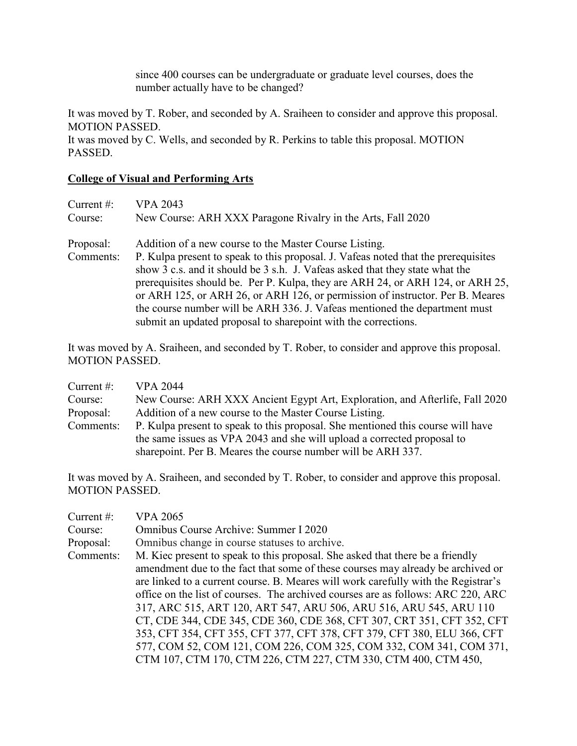since 400 courses can be undergraduate or graduate level courses, does the number actually have to be changed?

It was moved by T. Rober, and seconded by A. Sraiheen to consider and approve this proposal. MOTION PASSED.

It was moved by C. Wells, and seconded by R. Perkins to table this proposal. MOTION PASSED.

### **College of Visual and Performing Arts**

| <b>VPA 2043</b>                                                                    |
|------------------------------------------------------------------------------------|
| New Course: ARH XXX Paragone Rivalry in the Arts, Fall 2020                        |
| Addition of a new course to the Master Course Listing.                             |
| P. Kulpa present to speak to this proposal. J. Vafeas noted that the prerequisites |
| show 3 c.s. and it should be 3 s.h. J. Vafeas asked that they state what the       |
| prerequisites should be. Per P. Kulpa, they are ARH 24, or ARH 124, or ARH 25,     |
| or ARH 125, or ARH 26, or ARH 126, or permission of instructor. Per B. Meares      |
| the course number will be ARH 336. J. Vafeas mentioned the department must         |
| submit an updated proposal to sharepoint with the corrections.                     |
|                                                                                    |

It was moved by A. Sraiheen, and seconded by T. Rober, to consider and approve this proposal. MOTION PASSED.

| Current $#$ : | <b>VPA 2044</b>                                                                 |
|---------------|---------------------------------------------------------------------------------|
| Course:       | New Course: ARH XXX Ancient Egypt Art, Exploration, and Afterlife, Fall 2020    |
| Proposal:     | Addition of a new course to the Master Course Listing.                          |
| Comments:     | P. Kulpa present to speak to this proposal. She mentioned this course will have |
|               | the same issues as VPA 2043 and she will upload a corrected proposal to         |
|               | sharepoint. Per B. Meares the course number will be ARH 337.                    |

It was moved by A. Sraiheen, and seconded by T. Rober, to consider and approve this proposal. MOTION PASSED.

| <b>VPA 2065</b>                                                                    |
|------------------------------------------------------------------------------------|
| Omnibus Course Archive: Summer I 2020                                              |
| Omnibus change in course statuses to archive.                                      |
| M. Kiec present to speak to this proposal. She asked that there be a friendly      |
| amendment due to the fact that some of these courses may already be archived or    |
| are linked to a current course. B. Meares will work carefully with the Registrar's |
| office on the list of courses. The archived courses are as follows: ARC 220, ARC   |
| 317, ARC 515, ART 120, ART 547, ARU 506, ARU 516, ARU 545, ARU 110                 |
| CT, CDE 344, CDE 345, CDE 360, CDE 368, CFT 307, CRT 351, CFT 352, CFT             |
| 353, CFT 354, CFT 355, CFT 377, CFT 378, CFT 379, CFT 380, ELU 366, CFT            |
| 577, COM 52, COM 121, COM 226, COM 325, COM 332, COM 341, COM 371,                 |
| CTM 107, CTM 170, CTM 226, CTM 227, CTM 330, CTM 400, CTM 450,                     |
|                                                                                    |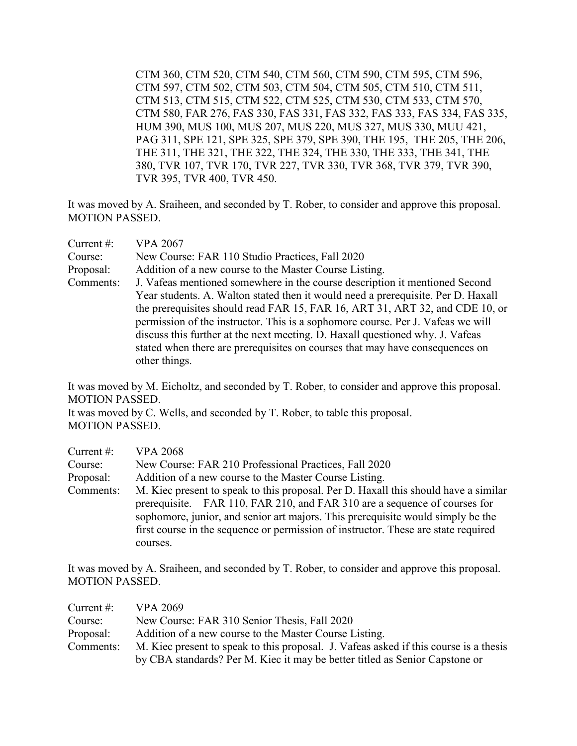CTM 360, CTM 520, CTM 540, CTM 560, CTM 590, CTM 595, CTM 596, CTM 597, CTM 502, CTM 503, CTM 504, CTM 505, CTM 510, CTM 511, CTM 513, CTM 515, CTM 522, CTM 525, CTM 530, CTM 533, CTM 570, CTM 580, FAR 276, FAS 330, FAS 331, FAS 332, FAS 333, FAS 334, FAS 335, HUM 390, MUS 100, MUS 207, MUS 220, MUS 327, MUS 330, MUU 421, PAG 311, SPE 121, SPE 325, SPE 379, SPE 390, THE 195, THE 205, THE 206, THE 311, THE 321, THE 322, THE 324, THE 330, THE 333, THE 341, THE 380, TVR 107, TVR 170, TVR 227, TVR 330, TVR 368, TVR 379, TVR 390, TVR 395, TVR 400, TVR 450.

It was moved by A. Sraiheen, and seconded by T. Rober, to consider and approve this proposal. MOTION PASSED.

| Current $#$ : | <b>VPA 2067</b>                                                                                                                                                                                                                                                                                                                                                                                                                                                                                                      |
|---------------|----------------------------------------------------------------------------------------------------------------------------------------------------------------------------------------------------------------------------------------------------------------------------------------------------------------------------------------------------------------------------------------------------------------------------------------------------------------------------------------------------------------------|
| Course:       | New Course: FAR 110 Studio Practices, Fall 2020                                                                                                                                                                                                                                                                                                                                                                                                                                                                      |
| Proposal:     | Addition of a new course to the Master Course Listing.                                                                                                                                                                                                                                                                                                                                                                                                                                                               |
| Comments:     | J. Vafeas mentioned somewhere in the course description it mentioned Second<br>Year students. A. Walton stated then it would need a prerequisite. Per D. Haxall<br>the prerequisites should read FAR 15, FAR 16, ART 31, ART 32, and CDE 10, or<br>permission of the instructor. This is a sophomore course. Per J. Vafeas we will<br>discuss this further at the next meeting. D. Haxall questioned why. J. Vafeas<br>stated when there are prerequisites on courses that may have consequences on<br>other things. |

It was moved by M. Eicholtz, and seconded by T. Rober, to consider and approve this proposal. MOTION PASSED.

It was moved by C. Wells, and seconded by T. Rober, to table this proposal. MOTION PASSED.

| Current $#$ : | <b>VPA 2068</b>                                                                     |
|---------------|-------------------------------------------------------------------------------------|
| Course:       | New Course: FAR 210 Professional Practices, Fall 2020                               |
| Proposal:     | Addition of a new course to the Master Course Listing.                              |
| Comments:     | M. Kiec present to speak to this proposal. Per D. Haxall this should have a similar |
|               | prerequisite. FAR 110, FAR 210, and FAR 310 are a sequence of courses for           |
|               | sophomore, junior, and senior art majors. This prerequisite would simply be the     |
|               | first course in the sequence or permission of instructor. These are state required  |
|               | courses.                                                                            |

It was moved by A. Sraiheen, and seconded by T. Rober, to consider and approve this proposal. MOTION PASSED.

| Current $#$ : | VPA 2069                                                                              |
|---------------|---------------------------------------------------------------------------------------|
| Course:       | New Course: FAR 310 Senior Thesis, Fall 2020                                          |
| Proposal:     | Addition of a new course to the Master Course Listing.                                |
| Comments:     | M. Kiec present to speak to this proposal. J. Vafeas asked if this course is a thesis |
|               | by CBA standards? Per M. Kiec it may be better titled as Senior Capstone or           |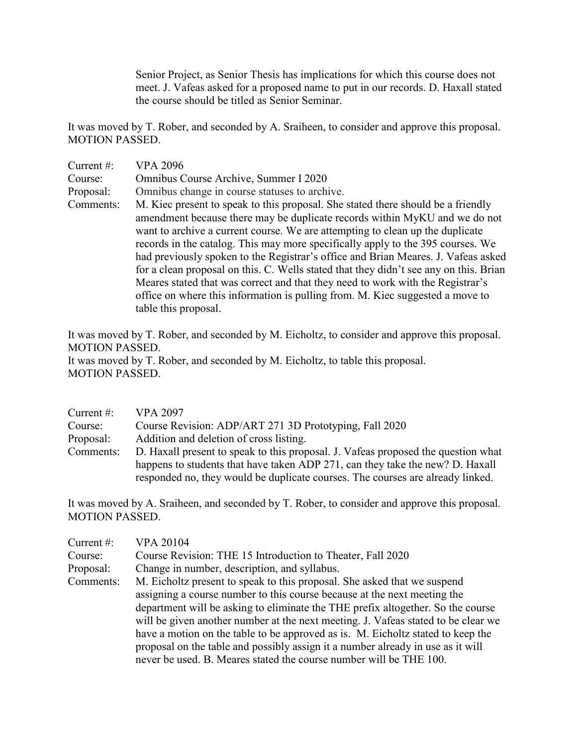Senior Project, as Senior Thesis has implications for which this course does not meet. J. Vafeas asked for a proposed name to put in our records. D. Haxall stated the course should be titled as Senior Seminar.

It was moved by T. Rober, and seconded by A. Sraiheen, to consider and approve this proposal. MOTION PASSED.

| Current $#$ : | <b>VPA 2096</b>                                                                                                                                                                                                                                                                                                                                                                                                                                                                                                                                                                                                                                                                     |
|---------------|-------------------------------------------------------------------------------------------------------------------------------------------------------------------------------------------------------------------------------------------------------------------------------------------------------------------------------------------------------------------------------------------------------------------------------------------------------------------------------------------------------------------------------------------------------------------------------------------------------------------------------------------------------------------------------------|
| Course:       | Omnibus Course Archive, Summer I 2020                                                                                                                                                                                                                                                                                                                                                                                                                                                                                                                                                                                                                                               |
| Proposal:     | Omnibus change in course statuses to archive.                                                                                                                                                                                                                                                                                                                                                                                                                                                                                                                                                                                                                                       |
| Comments:     | M. Kiec present to speak to this proposal. She stated there should be a friendly<br>amendment because there may be duplicate records within MyKU and we do not<br>want to archive a current course. We are attempting to clean up the duplicate<br>records in the catalog. This may more specifically apply to the 395 courses. We<br>had previously spoken to the Registrar's office and Brian Meares. J. Vafeas asked<br>for a clean proposal on this. C. Wells stated that they didn't see any on this. Brian<br>Meares stated that was correct and that they need to work with the Registrar's<br>office on where this information is pulling from. M. Kiec suggested a move to |
|               | table this proposal.                                                                                                                                                                                                                                                                                                                                                                                                                                                                                                                                                                                                                                                                |

It was moved by T. Rober, and seconded by M. Eicholtz, to consider and approve this proposal. MOTION PASSED. It was moved by T. Rober, and seconded by M. Eicholtz, to table this proposal. MOTION PASSED.

| Current $#$ : | <b>VPA 2097</b>                                                                   |
|---------------|-----------------------------------------------------------------------------------|
| Course:       | Course Revision: ADP/ART 271 3D Prototyping, Fall 2020                            |
| Proposal:     | Addition and deletion of cross listing.                                           |
| Comments:     | D. Haxall present to speak to this proposal. J. Vafeas proposed the question what |
|               | happens to students that have taken ADP 271, can they take the new? D. Haxall     |
|               | responded no, they would be duplicate courses. The courses are already linked.    |

It was moved by A. Sraiheen, and seconded by T. Rober, to consider and approve this proposal. MOTION PASSED.

| Current #: | <b>VPA 20104</b>                                                                  |
|------------|-----------------------------------------------------------------------------------|
| Course:    | Course Revision: THE 15 Introduction to Theater, Fall 2020                        |
| Proposal:  | Change in number, description, and syllabus.                                      |
| Comments:  | M. Eicholtz present to speak to this proposal. She asked that we suspend          |
|            | assigning a course number to this course because at the next meeting the          |
|            | department will be asking to eliminate the THE prefix altogether. So the course   |
|            | will be given another number at the next meeting. J. Vafeas stated to be clear we |
|            | have a motion on the table to be approved as is. M. Eicholtz stated to keep the   |
|            | proposal on the table and possibly assign it a number already in use as it will   |
|            | never be used. B. Meares stated the course number will be THE 100.                |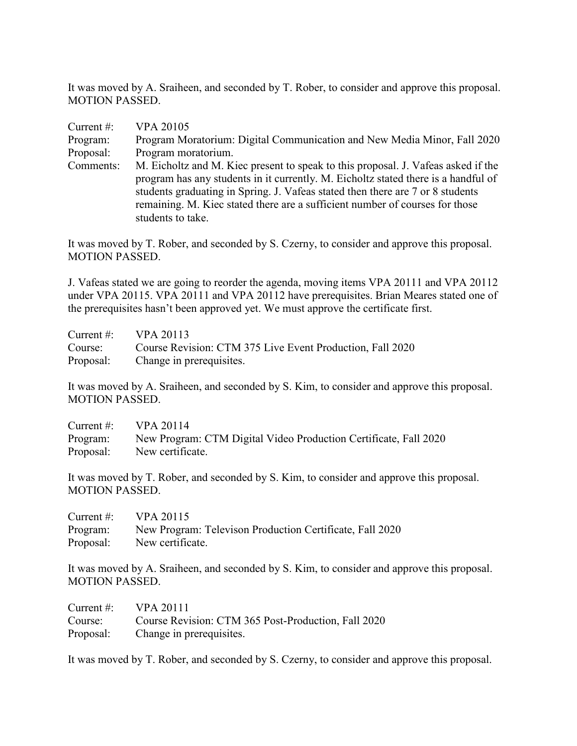It was moved by A. Sraiheen, and seconded by T. Rober, to consider and approve this proposal. MOTION PASSED.

| Current $#$ : | <b>VPA 20105</b>                                                                   |
|---------------|------------------------------------------------------------------------------------|
| Program:      | Program Moratorium: Digital Communication and New Media Minor, Fall 2020           |
| Proposal:     | Program moratorium.                                                                |
| Comments:     | M. Eicholtz and M. Kiec present to speak to this proposal. J. Vafeas asked if the  |
|               | program has any students in it currently. M. Eicholtz stated there is a handful of |
|               | students graduating in Spring. J. Vafeas stated then there are 7 or 8 students     |
|               | remaining. M. Kiec stated there are a sufficient number of courses for those       |
|               | students to take.                                                                  |

It was moved by T. Rober, and seconded by S. Czerny, to consider and approve this proposal. MOTION PASSED.

J. Vafeas stated we are going to reorder the agenda, moving items VPA 20111 and VPA 20112 under VPA 20115. VPA 20111 and VPA 20112 have prerequisites. Brian Meares stated one of the prerequisites hasn't been approved yet. We must approve the certificate first.

| Current #: $VPA 20113$ |                                                           |
|------------------------|-----------------------------------------------------------|
| Course:                | Course Revision: CTM 375 Live Event Production, Fall 2020 |
|                        | Proposal: Change in prerequisites.                        |

It was moved by A. Sraiheen, and seconded by S. Kim, to consider and approve this proposal. MOTION PASSED.

| Current $\#$ : | VPA 20114                                                        |
|----------------|------------------------------------------------------------------|
| Program:       | New Program: CTM Digital Video Production Certificate, Fall 2020 |
| Proposal:      | New certificate.                                                 |

It was moved by T. Rober, and seconded by S. Kim, to consider and approve this proposal. MOTION PASSED.

| Current $#$ : | VPA 20115                                                |
|---------------|----------------------------------------------------------|
| Program:      | New Program: Televison Production Certificate, Fall 2020 |
| Proposal:     | New certificate.                                         |

It was moved by A. Sraiheen, and seconded by S. Kim, to consider and approve this proposal. MOTION PASSED.

| Current $\#$ : | <b>VPA 20111</b>                                    |
|----------------|-----------------------------------------------------|
| Course:        | Course Revision: CTM 365 Post-Production, Fall 2020 |
|                | Proposal: Change in prerequisites.                  |

It was moved by T. Rober, and seconded by S. Czerny, to consider and approve this proposal.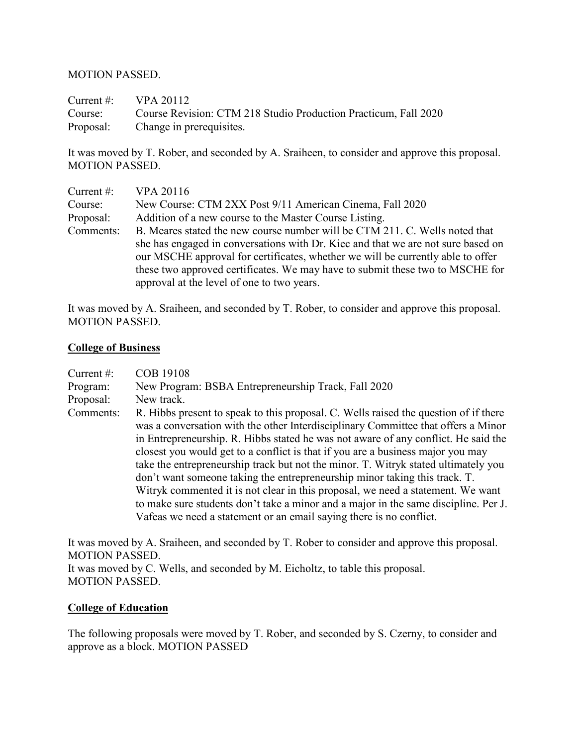#### MOTION PASSED.

Current #: VPA 20112 Course: Course Revision: CTM 218 Studio Production Practicum, Fall 2020 Proposal: Change in prerequisites.

It was moved by T. Rober, and seconded by A. Sraiheen, to consider and approve this proposal. MOTION PASSED.

| Current $#$ : | <b>VPA 20116</b>                                                                 |
|---------------|----------------------------------------------------------------------------------|
| Course:       | New Course: CTM 2XX Post 9/11 American Cinema, Fall 2020                         |
| Proposal:     | Addition of a new course to the Master Course Listing.                           |
| Comments:     | B. Meares stated the new course number will be CTM 211. C. Wells noted that      |
|               | she has engaged in conversations with Dr. Kiec and that we are not sure based on |
|               | our MSCHE approval for certificates, whether we will be currently able to offer  |
|               | these two approved certificates. We may have to submit these two to MSCHE for    |
|               | approval at the level of one to two years.                                       |

It was moved by A. Sraiheen, and seconded by T. Rober, to consider and approve this proposal. MOTION PASSED.

#### **College of Business**

| Current $#$ : | <b>COB 19108</b>                                                                                                                                                                                                                                                                                                                                                                                                                                                                                                                                                                                                                                                                                                                                                        |
|---------------|-------------------------------------------------------------------------------------------------------------------------------------------------------------------------------------------------------------------------------------------------------------------------------------------------------------------------------------------------------------------------------------------------------------------------------------------------------------------------------------------------------------------------------------------------------------------------------------------------------------------------------------------------------------------------------------------------------------------------------------------------------------------------|
| Program:      | New Program: BSBA Entrepreneurship Track, Fall 2020                                                                                                                                                                                                                                                                                                                                                                                                                                                                                                                                                                                                                                                                                                                     |
| Proposal:     | New track.                                                                                                                                                                                                                                                                                                                                                                                                                                                                                                                                                                                                                                                                                                                                                              |
| Comments:     | R. Hibbs present to speak to this proposal. C. Wells raised the question of if there<br>was a conversation with the other Interdisciplinary Committee that offers a Minor<br>in Entrepreneurship. R. Hibbs stated he was not aware of any conflict. He said the<br>closest you would get to a conflict is that if you are a business major you may<br>take the entrepreneurship track but not the minor. T. Witryk stated ultimately you<br>don't want someone taking the entrepreneurship minor taking this track. T.<br>Witryk commented it is not clear in this proposal, we need a statement. We want<br>to make sure students don't take a minor and a major in the same discipline. Per J.<br>Vafeas we need a statement or an email saying there is no conflict. |

It was moved by A. Sraiheen, and seconded by T. Rober to consider and approve this proposal. MOTION PASSED.

It was moved by C. Wells, and seconded by M. Eicholtz, to table this proposal. MOTION PASSED.

#### **College of Education**

The following proposals were moved by T. Rober, and seconded by S. Czerny, to consider and approve as a block. MOTION PASSED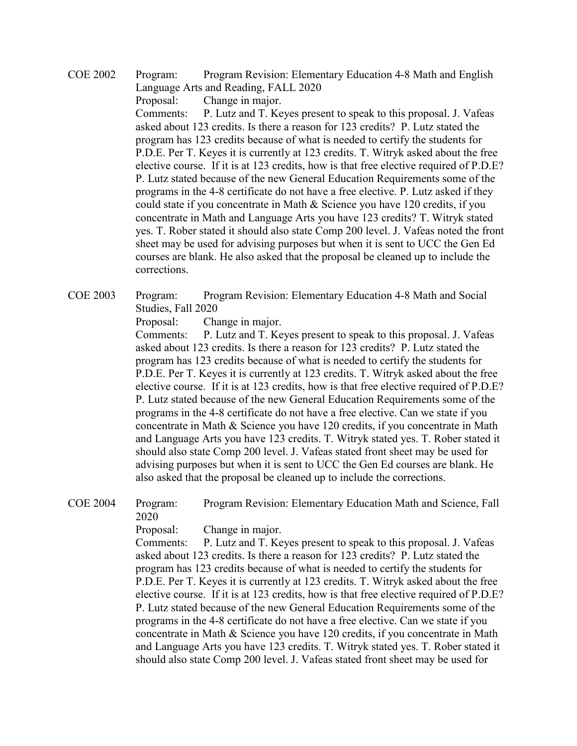COE 2002 Program: Program Revision: Elementary Education 4-8 Math and English Language Arts and Reading, FALL 2020

Proposal: Change in major.

Comments: P. Lutz and T. Keyes present to speak to this proposal. J. Vafeas asked about 123 credits. Is there a reason for 123 credits? P. Lutz stated the program has 123 credits because of what is needed to certify the students for P.D.E. Per T. Keyes it is currently at 123 credits. T. Witryk asked about the free elective course. If it is at 123 credits, how is that free elective required of P.D.E? P. Lutz stated because of the new General Education Requirements some of the programs in the 4-8 certificate do not have a free elective. P. Lutz asked if they could state if you concentrate in Math & Science you have 120 credits, if you concentrate in Math and Language Arts you have 123 credits? T. Witryk stated yes. T. Rober stated it should also state Comp 200 level. J. Vafeas noted the front sheet may be used for advising purposes but when it is sent to UCC the Gen Ed courses are blank. He also asked that the proposal be cleaned up to include the corrections.

COE 2003 Program: Program Revision: Elementary Education 4-8 Math and Social Studies, Fall 2020

Proposal: Change in major.

Comments: P. Lutz and T. Keyes present to speak to this proposal. J. Vafeas asked about 123 credits. Is there a reason for 123 credits? P. Lutz stated the program has 123 credits because of what is needed to certify the students for P.D.E. Per T. Keyes it is currently at 123 credits. T. Witryk asked about the free elective course. If it is at 123 credits, how is that free elective required of P.D.E? P. Lutz stated because of the new General Education Requirements some of the programs in the 4-8 certificate do not have a free elective. Can we state if you concentrate in Math & Science you have 120 credits, if you concentrate in Math and Language Arts you have 123 credits. T. Witryk stated yes. T. Rober stated it should also state Comp 200 level. J. Vafeas stated front sheet may be used for advising purposes but when it is sent to UCC the Gen Ed courses are blank. He also asked that the proposal be cleaned up to include the corrections.

COE 2004 Program: Program Revision: Elementary Education Math and Science, Fall 2020

Proposal: Change in major.

Comments: P. Lutz and T. Keyes present to speak to this proposal. J. Vafeas asked about 123 credits. Is there a reason for 123 credits? P. Lutz stated the program has 123 credits because of what is needed to certify the students for P.D.E. Per T. Keyes it is currently at 123 credits. T. Witryk asked about the free elective course. If it is at 123 credits, how is that free elective required of P.D.E? P. Lutz stated because of the new General Education Requirements some of the programs in the 4-8 certificate do not have a free elective. Can we state if you concentrate in Math & Science you have 120 credits, if you concentrate in Math and Language Arts you have 123 credits. T. Witryk stated yes. T. Rober stated it should also state Comp 200 level. J. Vafeas stated front sheet may be used for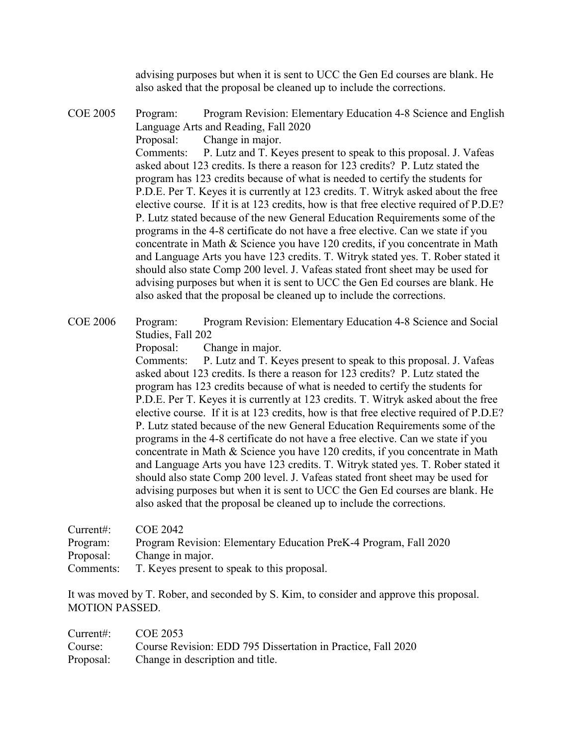advising purposes but when it is sent to UCC the Gen Ed courses are blank. He also asked that the proposal be cleaned up to include the corrections.

COE 2005 Program: Program Revision: Elementary Education 4-8 Science and English Language Arts and Reading, Fall 2020

Proposal: Change in major.

Comments: P. Lutz and T. Keyes present to speak to this proposal. J. Vafeas asked about 123 credits. Is there a reason for 123 credits? P. Lutz stated the program has 123 credits because of what is needed to certify the students for P.D.E. Per T. Keyes it is currently at 123 credits. T. Witryk asked about the free elective course. If it is at 123 credits, how is that free elective required of P.D.E? P. Lutz stated because of the new General Education Requirements some of the programs in the 4-8 certificate do not have a free elective. Can we state if you concentrate in Math & Science you have 120 credits, if you concentrate in Math and Language Arts you have 123 credits. T. Witryk stated yes. T. Rober stated it should also state Comp 200 level. J. Vafeas stated front sheet may be used for advising purposes but when it is sent to UCC the Gen Ed courses are blank. He also asked that the proposal be cleaned up to include the corrections.

COE 2006 Program: Program Revision: Elementary Education 4-8 Science and Social Studies, Fall 202

Proposal: Change in major.

Comments: P. Lutz and T. Keyes present to speak to this proposal. J. Vafeas asked about 123 credits. Is there a reason for 123 credits? P. Lutz stated the program has 123 credits because of what is needed to certify the students for P.D.E. Per T. Keyes it is currently at 123 credits. T. Witryk asked about the free elective course. If it is at 123 credits, how is that free elective required of P.D.E? P. Lutz stated because of the new General Education Requirements some of the programs in the 4-8 certificate do not have a free elective. Can we state if you concentrate in Math & Science you have 120 credits, if you concentrate in Math and Language Arts you have 123 credits. T. Witryk stated yes. T. Rober stated it should also state Comp 200 level. J. Vafeas stated front sheet may be used for advising purposes but when it is sent to UCC the Gen Ed courses are blank. He also asked that the proposal be cleaned up to include the corrections.

| Current:  | COE 2042                                                         |
|-----------|------------------------------------------------------------------|
| Program:  | Program Revision: Elementary Education PreK-4 Program, Fall 2020 |
| Proposal: | Change in major.                                                 |
| Comments: | T. Keyes present to speak to this proposal.                      |

It was moved by T. Rober, and seconded by S. Kim, to consider and approve this proposal. MOTION PASSED.

| Current#: $COE 2053$ |                                                                      |
|----------------------|----------------------------------------------------------------------|
|                      | Course: Course Revision: EDD 795 Dissertation in Practice, Fall 2020 |
|                      | Proposal: Change in description and title.                           |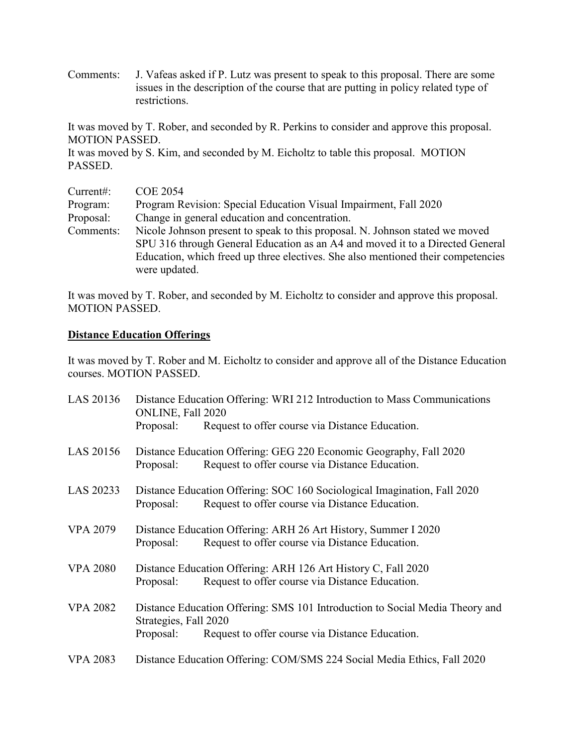Comments: J. Vafeas asked if P. Lutz was present to speak to this proposal. There are some issues in the description of the course that are putting in policy related type of restrictions.

It was moved by T. Rober, and seconded by R. Perkins to consider and approve this proposal. MOTION PASSED.

It was moved by S. Kim, and seconded by M. Eicholtz to table this proposal. MOTION PASSED.

| Current:  | <b>COE 2054</b>                                                                  |  |  |
|-----------|----------------------------------------------------------------------------------|--|--|
| Program:  | Program Revision: Special Education Visual Impairment, Fall 2020                 |  |  |
| Proposal: | Change in general education and concentration.                                   |  |  |
| Comments: | Nicole Johnson present to speak to this proposal. N. Johnson stated we moved     |  |  |
|           | SPU 316 through General Education as an A4 and moved it to a Directed General    |  |  |
|           | Education, which freed up three electives. She also mentioned their competencies |  |  |
|           | were updated.                                                                    |  |  |

It was moved by T. Rober, and seconded by M. Eicholtz to consider and approve this proposal. MOTION PASSED.

#### **Distance Education Offerings**

It was moved by T. Rober and M. Eicholtz to consider and approve all of the Distance Education courses. MOTION PASSED.

| LAS 20136       | Distance Education Offering: WRI 212 Introduction to Mass Communications<br>ONLINE, Fall 2020                                                                         |                                                                                                                             |  |
|-----------------|-----------------------------------------------------------------------------------------------------------------------------------------------------------------------|-----------------------------------------------------------------------------------------------------------------------------|--|
|                 | Proposal:                                                                                                                                                             | Request to offer course via Distance Education.                                                                             |  |
| LAS 20156       | Proposal:                                                                                                                                                             | Distance Education Offering: GEG 220 Economic Geography, Fall 2020<br>Request to offer course via Distance Education.       |  |
| LAS 20233       | Proposal:                                                                                                                                                             | Distance Education Offering: SOC 160 Sociological Imagination, Fall 2020<br>Request to offer course via Distance Education. |  |
| <b>VPA 2079</b> | Proposal:                                                                                                                                                             | Distance Education Offering: ARH 26 Art History, Summer I 2020<br>Request to offer course via Distance Education.           |  |
| <b>VPA 2080</b> | Proposal:                                                                                                                                                             | Distance Education Offering: ARH 126 Art History C, Fall 2020<br>Request to offer course via Distance Education.            |  |
| <b>VPA 2082</b> | Distance Education Offering: SMS 101 Introduction to Social Media Theory and<br>Strategies, Fall 2020<br>Request to offer course via Distance Education.<br>Proposal: |                                                                                                                             |  |
| <b>VPA 2083</b> |                                                                                                                                                                       | Distance Education Offering: COM/SMS 224 Social Media Ethics, Fall 2020                                                     |  |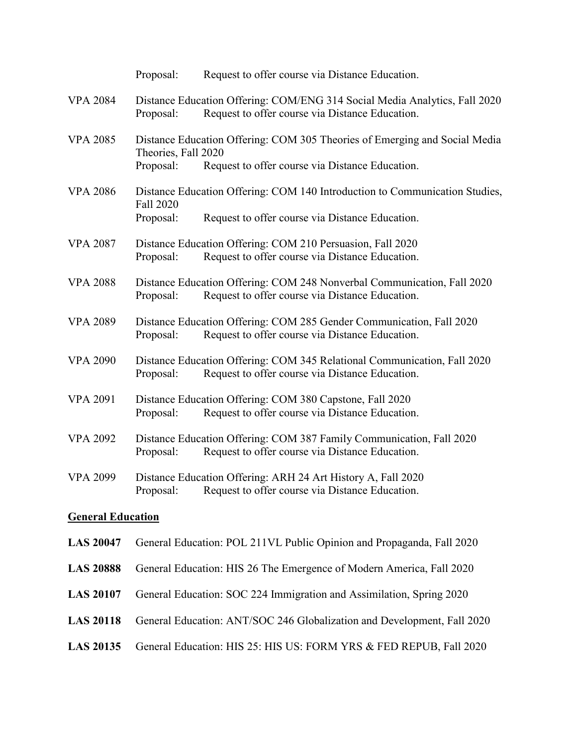|                          | Proposal:                                                            | Request to offer course via Distance Education.                                                                                |  |  |
|--------------------------|----------------------------------------------------------------------|--------------------------------------------------------------------------------------------------------------------------------|--|--|
| <b>VPA 2084</b>          | Proposal:                                                            | Distance Education Offering: COM/ENG 314 Social Media Analytics, Fall 2020<br>Request to offer course via Distance Education.  |  |  |
| <b>VPA 2085</b>          | Theories, Fall 2020<br>Proposal:                                     | Distance Education Offering: COM 305 Theories of Emerging and Social Media<br>Request to offer course via Distance Education.  |  |  |
| <b>VPA 2086</b>          | Fall 2020<br>Proposal:                                               | Distance Education Offering: COM 140 Introduction to Communication Studies,<br>Request to offer course via Distance Education. |  |  |
| <b>VPA 2087</b>          | Proposal:                                                            | Distance Education Offering: COM 210 Persuasion, Fall 2020<br>Request to offer course via Distance Education.                  |  |  |
| <b>VPA 2088</b>          | Proposal:                                                            | Distance Education Offering: COM 248 Nonverbal Communication, Fall 2020<br>Request to offer course via Distance Education.     |  |  |
| <b>VPA 2089</b>          | Proposal:                                                            | Distance Education Offering: COM 285 Gender Communication, Fall 2020<br>Request to offer course via Distance Education.        |  |  |
| <b>VPA 2090</b>          | Proposal:                                                            | Distance Education Offering: COM 345 Relational Communication, Fall 2020<br>Request to offer course via Distance Education.    |  |  |
| <b>VPA 2091</b>          | Proposal:                                                            | Distance Education Offering: COM 380 Capstone, Fall 2020<br>Request to offer course via Distance Education.                    |  |  |
| <b>VPA 2092</b>          | Proposal:                                                            | Distance Education Offering: COM 387 Family Communication, Fall 2020<br>Request to offer course via Distance Education.        |  |  |
| <b>VPA 2099</b>          | Proposal:                                                            | Distance Education Offering: ARH 24 Art History A, Fall 2020<br>Request to offer course via Distance Education.                |  |  |
| <b>General Education</b> |                                                                      |                                                                                                                                |  |  |
| <b>LAS 20047</b>         |                                                                      | General Education: POL 211VL Public Opinion and Propaganda, Fall 2020                                                          |  |  |
| <b>LAS 20888</b>         | General Education: HIS 26 The Emergence of Modern America, Fall 2020 |                                                                                                                                |  |  |
| <b>LAS 20107</b>         | General Education: SOC 224 Immigration and Assimilation, Spring 2020 |                                                                                                                                |  |  |
| <b>LAS 20118</b>         |                                                                      | General Education: ANT/SOC 246 Globalization and Development, Fall 2020                                                        |  |  |

**LAS 20135** General Education: HIS 25: HIS US: FORM YRS & FED REPUB, Fall 2020